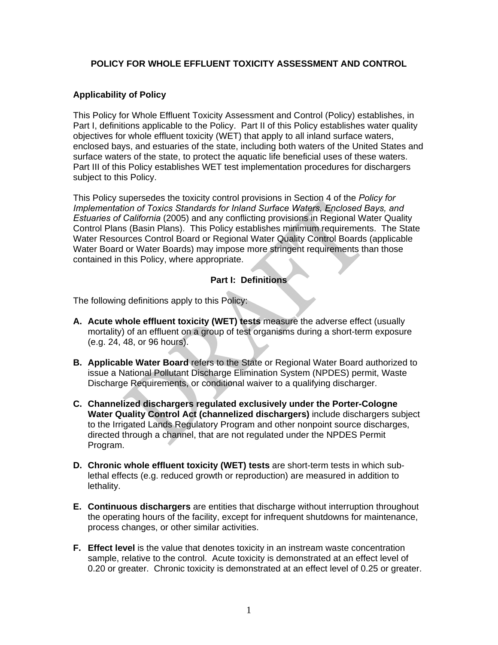#### **POLICY FOR WHOLE EFFLUENT TOXICITY ASSESSMENT AND CONTROL**

## **Applicability of Policy**

This Policy for Whole Effluent Toxicity Assessment and Control (Policy) establishes, in Part I, definitions applicable to the Policy. Part II of this Policy establishes water quality objectives for whole effluent toxicity (WET) that apply to all inland surface waters, enclosed bays, and estuaries of the state, including both waters of the United States and surface waters of the state, to protect the aquatic life beneficial uses of these waters. Part III of this Policy establishes WET test implementation procedures for dischargers subject to this Policy.

This Policy supersedes the toxicity control provisions in Section 4 of the *Policy for Implementation of Toxics Standards for Inland Surface Waters, Enclosed Bays, and Estuaries of California* (2005) and any conflicting provisions in Regional Water Quality Control Plans (Basin Plans). This Policy establishes minimum requirements. The State Water Resources Control Board or Regional Water Quality Control Boards (applicable Water Board or Water Boards) may impose more stringent requirements than those contained in this Policy, where appropriate.

## **Part I: Definitions**

The following definitions apply to this Policy:

- **A. Acute whole effluent toxicity (WET) tests** measure the adverse effect (usually mortality) of an effluent on a group of test organisms during a short-term exposure (e.g. 24, 48, or 96 hours).
- **B. Applicable Water Board** refers to the State or Regional Water Board authorized to issue a National Pollutant Discharge Elimination System (NPDES) permit, Waste Discharge Requirements, or conditional waiver to a qualifying discharger.
- **C. Channelized dischargers regulated exclusively under the Porter-Cologne Water Quality Control Act (channelized dischargers)** include dischargers subject to the Irrigated Lands Regulatory Program and other nonpoint source discharges, directed through a channel, that are not regulated under the NPDES Permit Program.
- **D. Chronic whole effluent toxicity (WET) tests** are short-term tests in which sublethal effects (e.g. reduced growth or reproduction) are measured in addition to lethality.
- **E. Continuous dischargers** are entities that discharge without interruption throughout the operating hours of the facility, except for infrequent shutdowns for maintenance, process changes, or other similar activities.
- **F. Effect level** is the value that denotes toxicity in an instream waste concentration sample, relative to the control. Acute toxicity is demonstrated at an effect level of 0.20 or greater. Chronic toxicity is demonstrated at an effect level of 0.25 or greater.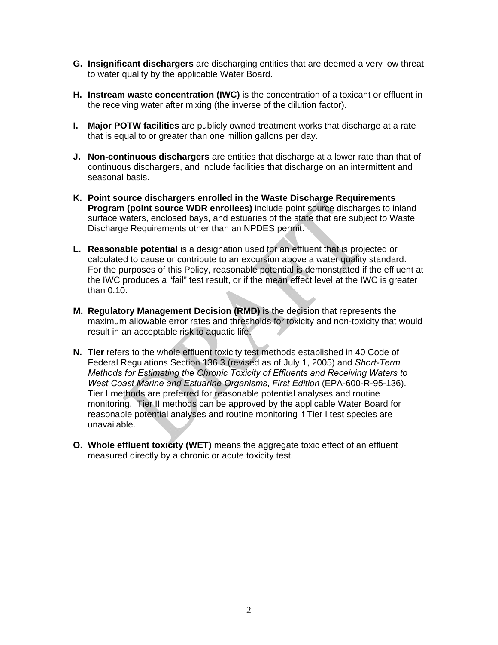- **G. Insignificant dischargers** are discharging entities that are deemed a very low threat to water quality by the applicable Water Board.
- **H. Instream waste concentration (IWC)** is the concentration of a toxicant or effluent in the receiving water after mixing (the inverse of the dilution factor).
- **I. Major POTW facilities** are publicly owned treatment works that discharge at a rate that is equal to or greater than one million gallons per day.
- **J. Non-continuous dischargers** are entities that discharge at a lower rate than that of continuous dischargers, and include facilities that discharge on an intermittent and seasonal basis.
- **K. Point source dischargers enrolled in the Waste Discharge Requirements Program (point source WDR enrollees)** include point source discharges to inland surface waters, enclosed bays, and estuaries of the state that are subject to Waste Discharge Requirements other than an NPDES permit.
- **L. Reasonable potential** is a designation used for an effluent that is projected or calculated to cause or contribute to an excursion above a water quality standard. For the purposes of this Policy, reasonable potential is demonstrated if the effluent at the IWC produces a "fail" test result, or if the mean effect level at the IWC is greater than 0.10.
- **M. Regulatory Management Decision (RMD)** is the decision that represents the maximum allowable error rates and thresholds for toxicity and non-toxicity that would result in an acceptable risk to aquatic life.
- **N. Tier** refers to the whole effluent toxicity test methods established in 40 Code of Federal Regulations Section 136.3 (revised as of July 1, 2005) and *Short-Term Methods for Estimating the Chronic Toxicity of Effluents and Receiving Waters to West Coast Marine and Estuarine Organisms*, *First Edition* (EPA-600-R-95-136). Tier I methods are preferred for reasonable potential analyses and routine monitoring. Tier II methods can be approved by the applicable Water Board for reasonable potential analyses and routine monitoring if Tier I test species are unavailable.
- **O. Whole effluent toxicity (WET)** means the aggregate toxic effect of an effluent measured directly by a chronic or acute toxicity test.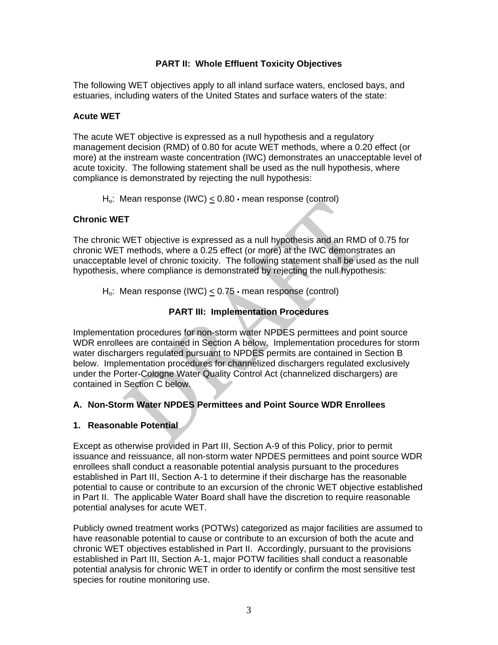## **PART II: Whole Effluent Toxicity Objectives**

The following WET objectives apply to all inland surface waters, enclosed bays, and estuaries, including waters of the United States and surface waters of the state:

#### **Acute WET**

The acute WET objective is expressed as a null hypothesis and a regulatory management decision (RMD) of 0.80 for acute WET methods, where a 0.20 effect (or more) at the instream waste concentration (IWC) demonstrates an unacceptable level of acute toxicity. The following statement shall be used as the null hypothesis, where compliance is demonstrated by rejecting the null hypothesis:

 $H_0$ : Mean response (IWC) < 0.80  $\cdot$  mean response (control)

#### **Chronic WET**

The chronic WET objective is expressed as a null hypothesis and an RMD of 0.75 for chronic WET methods, where a 0.25 effect (or more) at the IWC demonstrates an unacceptable level of chronic toxicity. The following statement shall be used as the null hypothesis, where compliance is demonstrated by rejecting the null hypothesis:

 $H_0$ : Mean response (IWC) < 0.75 • mean response (control)

## **PART III: Implementation Procedures**

Implementation procedures for non-storm water NPDES permittees and point source WDR enrollees are contained in Section A below. Implementation procedures for storm water dischargers regulated pursuant to NPDES permits are contained in Section B below. Implementation procedures for channelized dischargers regulated exclusively under the Porter-Cologne Water Quality Control Act (channelized dischargers) are contained in Section C below.

#### **A. Non-Storm Water NPDES Permittees and Point Source WDR Enrollees**

#### **1. Reasonable Potential**

Except as otherwise provided in Part III, Section A-9 of this Policy, prior to permit issuance and reissuance, all non-storm water NPDES permittees and point source WDR enrollees shall conduct a reasonable potential analysis pursuant to the procedures established in Part III, Section A-1 to determine if their discharge has the reasonable potential to cause or contribute to an excursion of the chronic WET objective established in Part II. The applicable Water Board shall have the discretion to require reasonable potential analyses for acute WET.

Publicly owned treatment works (POTWs) categorized as major facilities are assumed to have reasonable potential to cause or contribute to an excursion of both the acute and chronic WET objectives established in Part II. Accordingly, pursuant to the provisions established in Part III, Section A-1, major POTW facilities shall conduct a reasonable potential analysis for chronic WET in order to identify or confirm the most sensitive test species for routine monitoring use.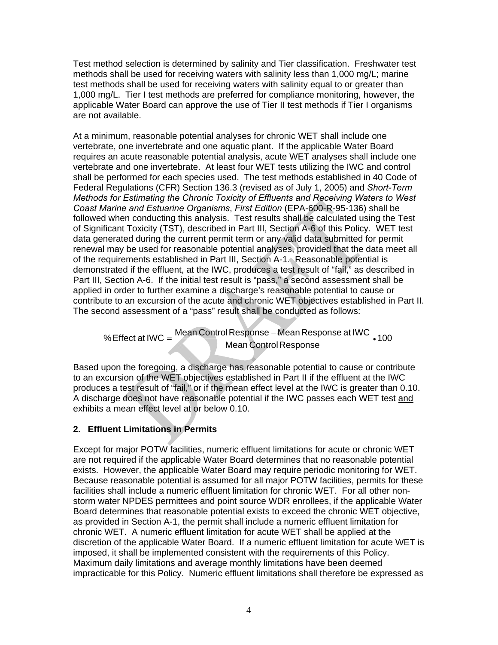Test method selection is determined by salinity and Tier classification. Freshwater test methods shall be used for receiving waters with salinity less than 1,000 mg/L; marine test methods shall be used for receiving waters with salinity equal to or greater than 1,000 mg/L. Tier I test methods are preferred for compliance monitoring, however, the applicable Water Board can approve the use of Tier II test methods if Tier I organisms are not available.

At a minimum, reasonable potential analyses for chronic WET shall include one vertebrate, one invertebrate and one aquatic plant. If the applicable Water Board requires an acute reasonable potential analysis, acute WET analyses shall include one vertebrate and one invertebrate. At least four WET tests utilizing the IWC and control shall be performed for each species used. The test methods established in 40 Code of Federal Regulations (CFR) Section 136.3 (revised as of July 1, 2005) and *Short-Term Methods for Estimating the Chronic Toxicity of Effluents and Receiving Waters to West Coast Marine and Estuarine Organisms*, *First Edition* (EPA-600-R-95-136) shall be followed when conducting this analysis. Test results shall be calculated using the Test of Significant Toxicity (TST), described in Part III, Section A-6 of this Policy. WET test data generated during the current permit term or any valid data submitted for permit renewal may be used for reasonable potential analyses, provided that the data meet all of the requirements established in Part III, Section A-1. Reasonable potential is demonstrated if the effluent, at the IWC, produces a test result of "fail," as described in Part III, Section A-6. If the initial test result is "pass," a second assessment shall be applied in order to further examine a discharge's reasonable potential to cause or contribute to an excursion of the acute and chronic WET objectives established in Part II. The second assessment of a "pass" result shall be conducted as follows:

% Effect at IWC =  $\frac{\text{Mean Control Response} - \text{Mean Response at IWC}}{\text{Mean} + \text{Mean} + \text{Mean} + \text{Mean} + \text{Mean} + \text{Mean} + \text{Mean} + \text{Mean}}$ Mean Control Response

Based upon the foregoing, a discharge has reasonable potential to cause or contribute to an excursion of the WET objectives established in Part II if the effluent at the IWC produces a test result of "fail," or if the mean effect level at the IWC is greater than 0.10. A discharge does not have reasonable potential if the IWC passes each WET test and exhibits a mean effect level at or below 0.10.

# **2. Effluent Limitations in Permits**

Except for major POTW facilities, numeric effluent limitations for acute or chronic WET are not required if the applicable Water Board determines that no reasonable potential exists. However, the applicable Water Board may require periodic monitoring for WET. Because reasonable potential is assumed for all major POTW facilities, permits for these facilities shall include a numeric effluent limitation for chronic WET. For all other nonstorm water NPDES permittees and point source WDR enrollees, if the applicable Water Board determines that reasonable potential exists to exceed the chronic WET objective, as provided in Section A-1, the permit shall include a numeric effluent limitation for chronic WET. A numeric effluent limitation for acute WET shall be applied at the discretion of the applicable Water Board. If a numeric effluent limitation for acute WET is imposed, it shall be implemented consistent with the requirements of this Policy. Maximum daily limitations and average monthly limitations have been deemed impracticable for this Policy. Numeric effluent limitations shall therefore be expressed as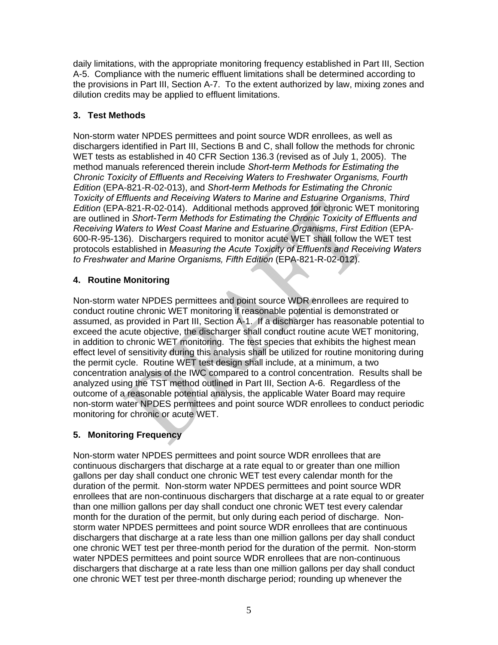daily limitations, with the appropriate monitoring frequency established in Part III, Section A-5. Compliance with the numeric effluent limitations shall be determined according to the provisions in Part III, Section A-7. To the extent authorized by law, mixing zones and dilution credits may be applied to effluent limitations.

# **3. Test Methods**

Non-storm water NPDES permittees and point source WDR enrollees, as well as dischargers identified in Part III, Sections B and C, shall follow the methods for chronic WET tests as established in 40 CFR Section 136.3 (revised as of July 1, 2005). The method manuals referenced therein include *Short-term Methods for Estimating the Chronic Toxicity of Effluents and Receiving Waters to Freshwater Organisms, Fourth Edition* (EPA-821-R-02-013), and *Short-term Methods for Estimating the Chronic Toxicity of Effluents and Receiving Waters to Marine and Estuarine Organisms*, *Third Edition* (EPA-821-R-02-014). Additional methods approved for chronic WET monitoring are outlined in *Short-Term Methods for Estimating the Chronic Toxicity of Effluents and Receiving Waters to West Coast Marine and Estuarine Organisms*, *First Edition* (EPA-600-R-95-136). Dischargers required to monitor acute WET shall follow the WET test protocols established in *Measuring the Acute Toxicity of Effluents and Receiving Waters to Freshwater and Marine Organisms, Fifth Edition* (EPA-821-R-02-012).

# **4. Routine Monitoring**

Non-storm water NPDES permittees and point source WDR enrollees are required to conduct routine chronic WET monitoring if reasonable potential is demonstrated or assumed, as provided in Part III, Section A-1. If a discharger has reasonable potential to exceed the acute objective, the discharger shall conduct routine acute WET monitoring, in addition to chronic WET monitoring. The test species that exhibits the highest mean effect level of sensitivity during this analysis shall be utilized for routine monitoring during the permit cycle. Routine WET test design shall include, at a minimum, a two concentration analysis of the IWC compared to a control concentration. Results shall be analyzed using the TST method outlined in Part III, Section A-6. Regardless of the outcome of a reasonable potential analysis, the applicable Water Board may require non-storm water NPDES permittees and point source WDR enrollees to conduct periodic monitoring for chronic or acute WET.

# **5. Monitoring Frequency**

Non-storm water NPDES permittees and point source WDR enrollees that are continuous dischargers that discharge at a rate equal to or greater than one million gallons per day shall conduct one chronic WET test every calendar month for the duration of the permit. Non-storm water NPDES permittees and point source WDR enrollees that are non-continuous dischargers that discharge at a rate equal to or greater than one million gallons per day shall conduct one chronic WET test every calendar month for the duration of the permit, but only during each period of discharge. Nonstorm water NPDES permittees and point source WDR enrollees that are continuous dischargers that discharge at a rate less than one million gallons per day shall conduct one chronic WET test per three-month period for the duration of the permit. Non-storm water NPDES permittees and point source WDR enrollees that are non-continuous dischargers that discharge at a rate less than one million gallons per day shall conduct one chronic WET test per three-month discharge period; rounding up whenever the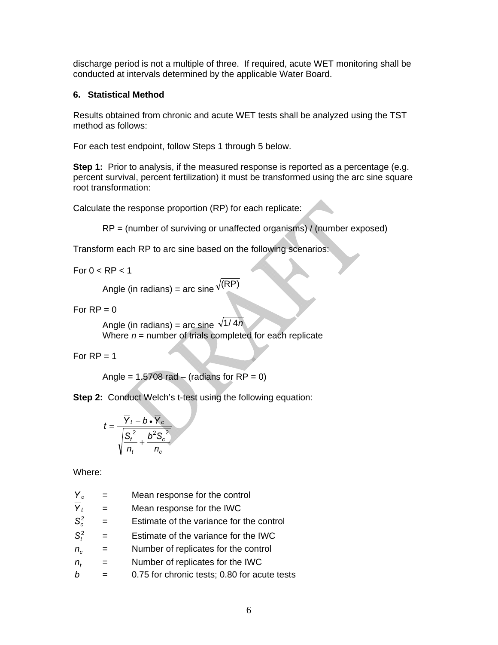discharge period is not a multiple of three. If required, acute WET monitoring shall be conducted at intervals determined by the applicable Water Board.

#### **6. Statistical Method**

Results obtained from chronic and acute WET tests shall be analyzed using the TST method as follows:

For each test endpoint, follow Steps 1 through 5 below.

**Step 1:** Prior to analysis, if the measured response is reported as a percentage (e.g. percent survival, percent fertilization) it must be transformed using the arc sine square root transformation:

Calculate the response proportion (RP) for each replicate:

 $RP =$  (number of surviving or unaffected organisms) / (number exposed)

Transform each RP to arc sine based on the following scenarios:

For  $0 < RP < 1$ 

Angle (in radians) = arc sine  $\sqrt{(RP)}$ 

For  $RP = 0$ 

Angle (in radians) = arc sine  $\sqrt{1/4n}$ Where  $n =$  number of trials completed for each replicate

For  $RP = 1$ 

Angle =  $1.5708$  rad – (radians for RP = 0)

**Step 2: Conduct Welch's t-test using the following equation:** 

$$
t = \frac{\overline{Y}_t - b \cdot \overline{Y}_c}{\sqrt{\frac{S_t^2}{n_t} + \frac{b^2 S_c^2}{n_c}}}
$$

Where:

| Mean response for the control                |
|----------------------------------------------|
| Mean response for the IWC                    |
| Estimate of the variance for the control     |
| Estimate of the variance for the IWC         |
| Number of replicates for the control         |
| Number of replicates for the IWC             |
| 0.75 for chronic tests; 0.80 for acute tests |
|                                              |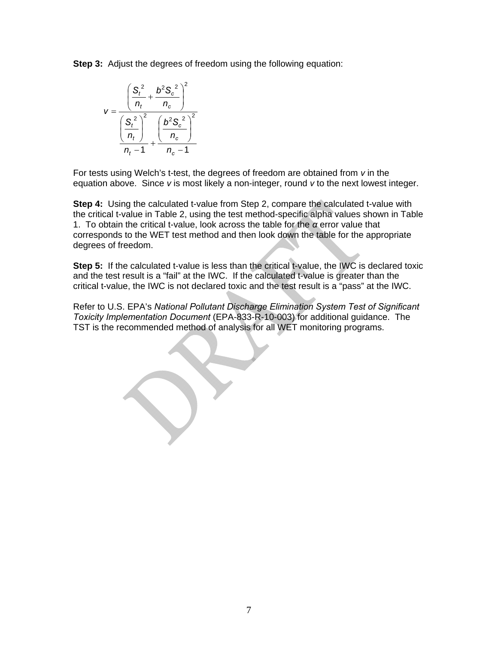**Step 3:** Adjust the degrees of freedom using the following equation:



For tests using Welch's t-test, the degrees of freedom are obtained from *v* in the equation above. Since *v* is most likely a non-integer, round *v* to the next lowest integer.

**Step 4:** Using the calculated t-value from Step 2, compare the calculated t-value with the critical t-value in Table 2, using the test method-specific alpha values shown in Table 1. To obtain the critical t-value, look across the table for the *α* error value that corresponds to the WET test method and then look down the table for the appropriate degrees of freedom.

**Step 5:** If the calculated t-value is less than the critical t-value, the IWC is declared toxic and the test result is a "fail" at the IWC. If the calculated t-value is greater than the critical t-value, the IWC is not declared toxic and the test result is a "pass" at the IWC.

Refer to U.S. EPA's *National Pollutant Discharge Elimination System Test of Significant Toxicity Implementation Document* (EPA-833-R-10-003) for additional guidance. The TST is the recommended method of analysis for all WET monitoring programs.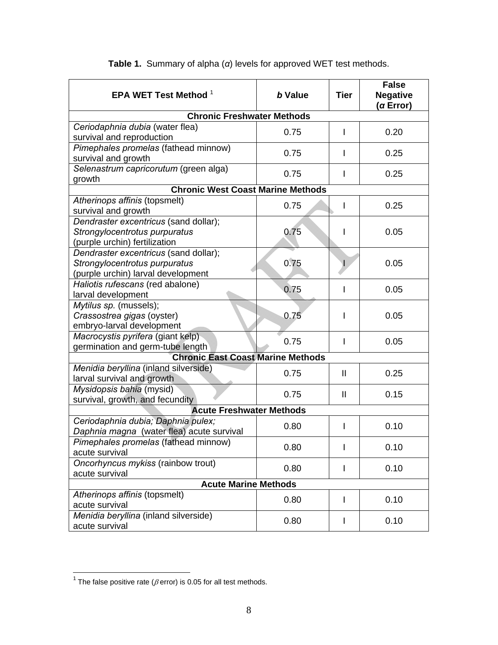| EPA WET Test Method <sup>1</sup>                                                                             | b Value | <b>Tier</b>  | <b>False</b><br><b>Negative</b><br>(a Error) |  |  |  |  |  |
|--------------------------------------------------------------------------------------------------------------|---------|--------------|----------------------------------------------|--|--|--|--|--|
| <b>Chronic Freshwater Methods</b>                                                                            |         |              |                                              |  |  |  |  |  |
| Ceriodaphnia dubia (water flea)<br>survival and reproduction                                                 | 0.75    | L            | 0.20                                         |  |  |  |  |  |
| Pimephales promelas (fathead minnow)<br>survival and growth                                                  | 0.75    |              | 0.25                                         |  |  |  |  |  |
| Selenastrum capricorutum (green alga)<br>growth                                                              | 0.75    |              | 0.25                                         |  |  |  |  |  |
| <b>Chronic West Coast Marine Methods</b>                                                                     |         |              |                                              |  |  |  |  |  |
| Atherinops affinis (topsmelt)<br>survival and growth                                                         | 0.75    | ı            | 0.25                                         |  |  |  |  |  |
| Dendraster excentricus (sand dollar);<br>Strongylocentrotus purpuratus<br>(purple urchin) fertilization      | 0.75    |              | 0.05                                         |  |  |  |  |  |
| Dendraster excentricus (sand dollar);<br>Strongylocentrotus purpuratus<br>(purple urchin) larval development | 0.75    |              | 0.05                                         |  |  |  |  |  |
| Haliotis rufescans (red abalone)<br>larval development                                                       | 0.75    |              | 0.05                                         |  |  |  |  |  |
| Mytilus sp. (mussels);<br>Crassostrea gigas (oyster)<br>embryo-larval development                            | 0.75    |              | 0.05                                         |  |  |  |  |  |
| Macrocystis pyrifera (giant kelp)<br>germination and germ-tube length                                        | 0.75    | I            | 0.05                                         |  |  |  |  |  |
| <b>Chronic East Coast Marine Methods</b>                                                                     |         |              |                                              |  |  |  |  |  |
| Menidia beryllina (inland silverside)<br>larval survival and growth                                          | 0.75    | $\mathbf{H}$ | 0.25                                         |  |  |  |  |  |
| Mysidopsis bahia (mysid)<br>survival, growth, and fecundity                                                  | 0.75    | $\mathbf{I}$ | 0.15                                         |  |  |  |  |  |
| <b>Acute Freshwater Methods</b>                                                                              |         |              |                                              |  |  |  |  |  |
| Ceriodaphnia dubia; Daphnia pulex;<br>Daphnia magna (water flea) acute survival                              | 0.80    |              | 0.10                                         |  |  |  |  |  |
| Pimephales promelas (fathead minnow)<br>acute survival                                                       | 0.80    |              | 0.10                                         |  |  |  |  |  |
| Oncorhyncus mykiss (rainbow trout)<br>acute survival                                                         | 0.80    | I            | 0.10                                         |  |  |  |  |  |
| <b>Acute Marine Methods</b>                                                                                  |         |              |                                              |  |  |  |  |  |
| Atherinops affinis (topsmelt)<br>acute survival                                                              | 0.80    | L            | 0.10                                         |  |  |  |  |  |
| Menidia beryllina (inland silverside)<br>acute survival                                                      | 0.80    |              | 0.10                                         |  |  |  |  |  |

# **Table 1.** Summary of alpha (*α*) levels for approved WET test methods.

 $\overline{a}$ 

 $\overline{\phantom{a}}$ <sup>1</sup> The false positive rate ( $\beta$  error) is 0.05 for all test methods.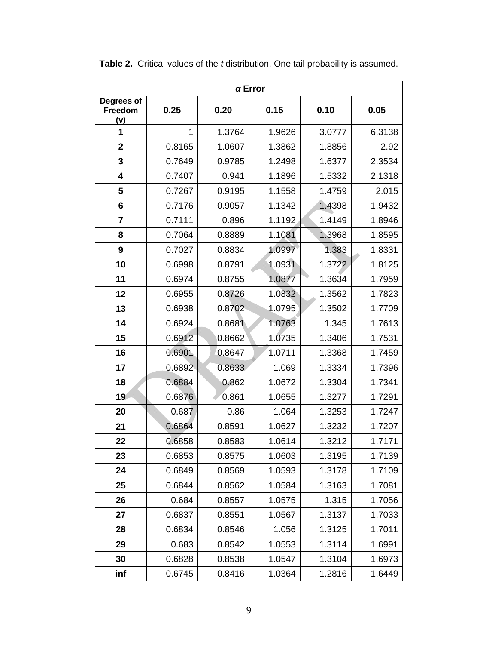| $\alpha$ Error               |        |        |        |        |        |  |  |  |  |
|------------------------------|--------|--------|--------|--------|--------|--|--|--|--|
| Degrees of<br>Freedom<br>(v) | 0.25   | 0.20   | 0.15   | 0.10   | 0.05   |  |  |  |  |
| 1                            | 1      | 1.3764 | 1.9626 | 3.0777 | 6.3138 |  |  |  |  |
| $\mathbf 2$                  | 0.8165 | 1.0607 | 1.3862 | 1.8856 | 2.92   |  |  |  |  |
| 3                            | 0.7649 | 0.9785 | 1.2498 | 1.6377 | 2.3534 |  |  |  |  |
| 4                            | 0.7407 | 0.941  | 1.1896 | 1.5332 | 2.1318 |  |  |  |  |
| 5                            | 0.7267 | 0.9195 | 1.1558 | 1.4759 | 2.015  |  |  |  |  |
| 6                            | 0.7176 | 0.9057 | 1.1342 | 1.4398 | 1.9432 |  |  |  |  |
| $\overline{7}$               | 0.7111 | 0.896  | 1.1192 | 1.4149 | 1.8946 |  |  |  |  |
| 8                            | 0.7064 | 0.8889 | 1.1081 | 1.3968 | 1.8595 |  |  |  |  |
| 9                            | 0.7027 | 0.8834 | 1.0997 | 1.383  | 1.8331 |  |  |  |  |
| 10                           | 0.6998 | 0.8791 | 1.0931 | 1.3722 | 1.8125 |  |  |  |  |
| 11                           | 0.6974 | 0.8755 | 1.0877 | 1.3634 | 1.7959 |  |  |  |  |
| 12                           | 0.6955 | 0.8726 | 1.0832 | 1.3562 | 1.7823 |  |  |  |  |
| 13                           | 0.6938 | 0.8702 | 1.0795 | 1.3502 | 1.7709 |  |  |  |  |
| 14                           | 0.6924 | 0.8681 | 1.0763 | 1.345  | 1.7613 |  |  |  |  |
| 15                           | 0.6912 | 0.8662 | 1.0735 | 1.3406 | 1.7531 |  |  |  |  |
| 16                           | 0.6901 | 0.8647 | 1.0711 | 1.3368 | 1.7459 |  |  |  |  |
| 17                           | 0.6892 | 0.8633 | 1.069  | 1.3334 | 1.7396 |  |  |  |  |
| 18                           | 0.6884 | 0.862  | 1.0672 | 1.3304 | 1.7341 |  |  |  |  |
| 19                           | 0.6876 | 0.861  | 1.0655 | 1.3277 | 1.7291 |  |  |  |  |
| 20                           | 0.687  | 0.86   | 1.064  | 1.3253 | 1.7247 |  |  |  |  |
| 21                           | 0.6864 | 0.8591 | 1.0627 | 1.3232 | 1.7207 |  |  |  |  |
| 22                           | 0.6858 | 0.8583 | 1.0614 | 1.3212 | 1.7171 |  |  |  |  |
| 23                           | 0.6853 | 0.8575 | 1.0603 | 1.3195 | 1.7139 |  |  |  |  |
| 24                           | 0.6849 | 0.8569 | 1.0593 | 1.3178 | 1.7109 |  |  |  |  |
| 25                           | 0.6844 | 0.8562 | 1.0584 | 1.3163 | 1.7081 |  |  |  |  |
| 26                           | 0.684  | 0.8557 | 1.0575 | 1.315  | 1.7056 |  |  |  |  |
| 27                           | 0.6837 | 0.8551 | 1.0567 | 1.3137 | 1.7033 |  |  |  |  |
| 28                           | 0.6834 | 0.8546 | 1.056  | 1.3125 | 1.7011 |  |  |  |  |
| 29                           | 0.683  | 0.8542 | 1.0553 | 1.3114 | 1.6991 |  |  |  |  |
| 30                           | 0.6828 | 0.8538 | 1.0547 | 1.3104 | 1.6973 |  |  |  |  |
| inf                          | 0.6745 | 0.8416 | 1.0364 | 1.2816 | 1.6449 |  |  |  |  |

**Table 2.** Critical values of the *t* distribution. One tail probability is assumed.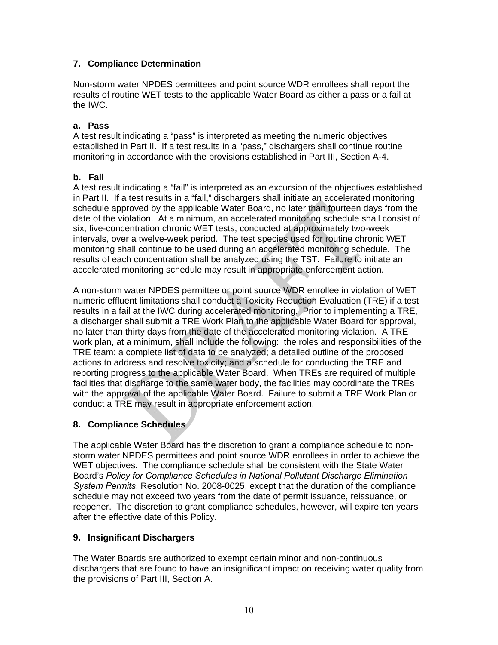## **7. Compliance Determination**

Non-storm water NPDES permittees and point source WDR enrollees shall report the results of routine WET tests to the applicable Water Board as either a pass or a fail at the IWC.

#### **a. Pass**

A test result indicating a "pass" is interpreted as meeting the numeric objectives established in Part II. If a test results in a "pass," dischargers shall continue routine monitoring in accordance with the provisions established in Part III, Section A-4.

## **b. Fail**

A test result indicating a "fail" is interpreted as an excursion of the objectives established in Part II. If a test results in a "fail," dischargers shall initiate an accelerated monitoring schedule approved by the applicable Water Board, no later than fourteen days from the date of the violation. At a minimum, an accelerated monitoring schedule shall consist of six, five-concentration chronic WET tests, conducted at approximately two-week intervals, over a twelve-week period. The test species used for routine chronic WET monitoring shall continue to be used during an accelerated monitoring schedule. The results of each concentration shall be analyzed using the TST. Failure to initiate an accelerated monitoring schedule may result in appropriate enforcement action.

A non-storm water NPDES permittee or point source WDR enrollee in violation of WET numeric effluent limitations shall conduct a Toxicity Reduction Evaluation (TRE) if a test results in a fail at the IWC during accelerated monitoring. Prior to implementing a TRE, a discharger shall submit a TRE Work Plan to the applicable Water Board for approval, no later than thirty days from the date of the accelerated monitoring violation. A TRE work plan, at a minimum, shall include the following: the roles and responsibilities of the TRE team; a complete list of data to be analyzed; a detailed outline of the proposed actions to address and resolve toxicity; and a schedule for conducting the TRE and reporting progress to the applicable Water Board. When TREs are required of multiple facilities that discharge to the same water body, the facilities may coordinate the TREs with the approval of the applicable Water Board. Failure to submit a TRE Work Plan or conduct a TRE may result in appropriate enforcement action.

#### **8. Compliance Schedules**

The applicable Water Board has the discretion to grant a compliance schedule to nonstorm water NPDES permittees and point source WDR enrollees in order to achieve the WET objectives. The compliance schedule shall be consistent with the State Water Board's *Policy for Compliance Schedules in National Pollutant Discharge Elimination System Permits*, Resolution No. 2008-0025, except that the duration of the compliance schedule may not exceed two years from the date of permit issuance, reissuance, or reopener. The discretion to grant compliance schedules, however, will expire ten years after the effective date of this Policy.

#### **9. Insignificant Dischargers**

The Water Boards are authorized to exempt certain minor and non-continuous dischargers that are found to have an insignificant impact on receiving water quality from the provisions of Part III, Section A.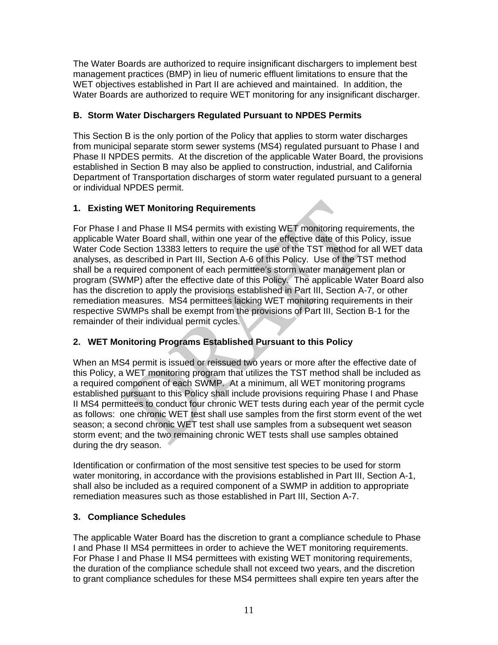The Water Boards are authorized to require insignificant dischargers to implement best management practices (BMP) in lieu of numeric effluent limitations to ensure that the WET objectives established in Part II are achieved and maintained. In addition, the Water Boards are authorized to require WET monitoring for any insignificant discharger.

## **B. Storm Water Dischargers Regulated Pursuant to NPDES Permits**

This Section B is the only portion of the Policy that applies to storm water discharges from municipal separate storm sewer systems (MS4) regulated pursuant to Phase I and Phase II NPDES permits. At the discretion of the applicable Water Board, the provisions established in Section B may also be applied to construction, industrial, and California Department of Transportation discharges of storm water regulated pursuant to a general or individual NPDES permit.

## **1. Existing WET Monitoring Requirements**

For Phase I and Phase II MS4 permits with existing WET monitoring requirements, the applicable Water Board shall, within one year of the effective date of this Policy, issue Water Code Section 13383 letters to require the use of the TST method for all WET data analyses, as described in Part III, Section A-6 of this Policy. Use of the TST method shall be a required component of each permittee's storm water management plan or program (SWMP) after the effective date of this Policy. The applicable Water Board also has the discretion to apply the provisions established in Part III, Section A-7, or other remediation measures. MS4 permittees lacking WET monitoring requirements in their respective SWMPs shall be exempt from the provisions of Part III, Section B-1 for the remainder of their individual permit cycles.

# **2. WET Monitoring Programs Established Pursuant to this Policy**

When an MS4 permit is issued or reissued two years or more after the effective date of this Policy, a WET monitoring program that utilizes the TST method shall be included as a required component of each SWMP. At a minimum, all WET monitoring programs established pursuant to this Policy shall include provisions requiring Phase I and Phase II MS4 permittees to conduct four chronic WET tests during each year of the permit cycle as follows: one chronic WET test shall use samples from the first storm event of the wet season; a second chronic WET test shall use samples from a subsequent wet season storm event; and the two remaining chronic WET tests shall use samples obtained during the dry season.

Identification or confirmation of the most sensitive test species to be used for storm water monitoring, in accordance with the provisions established in Part III, Section A-1, shall also be included as a required component of a SWMP in addition to appropriate remediation measures such as those established in Part III, Section A-7.

# **3. Compliance Schedules**

The applicable Water Board has the discretion to grant a compliance schedule to Phase I and Phase II MS4 permittees in order to achieve the WET monitoring requirements. For Phase I and Phase II MS4 permittees with existing WET monitoring requirements, the duration of the compliance schedule shall not exceed two years, and the discretion to grant compliance schedules for these MS4 permittees shall expire ten years after the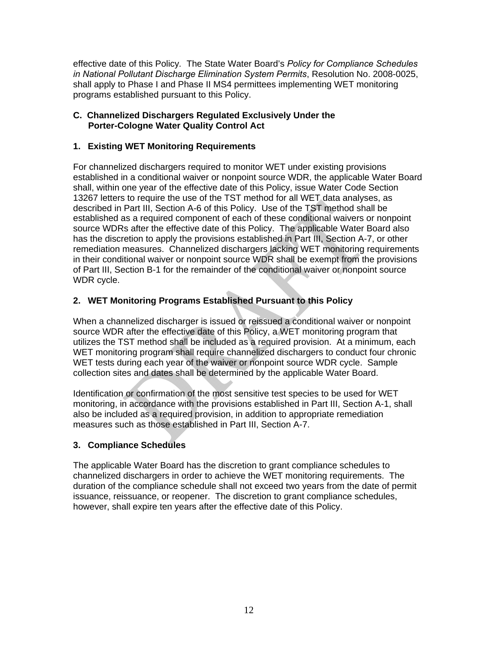effective date of this Policy*.* The State Water Board's *Policy for Compliance Schedules in National Pollutant Discharge Elimination System Permits*, Resolution No. 2008-0025, shall apply to Phase I and Phase II MS4 permittees implementing WET monitoring programs established pursuant to this Policy.

#### **C. Channelized Dischargers Regulated Exclusively Under the Porter-Cologne Water Quality Control Act**

## **1. Existing WET Monitoring Requirements**

For channelized dischargers required to monitor WET under existing provisions established in a conditional waiver or nonpoint source WDR, the applicable Water Board shall, within one year of the effective date of this Policy, issue Water Code Section 13267 letters to require the use of the TST method for all WET data analyses, as described in Part III, Section A-6 of this Policy. Use of the TST method shall be established as a required component of each of these conditional waivers or nonpoint source WDRs after the effective date of this Policy. The applicable Water Board also has the discretion to apply the provisions established in Part III, Section A-7, or other remediation measures. Channelized dischargers lacking WET monitoring requirements in their conditional waiver or nonpoint source WDR shall be exempt from the provisions of Part III, Section B-1 for the remainder of the conditional waiver or nonpoint source WDR cycle.

# **2. WET Monitoring Programs Established Pursuant to this Policy**

When a channelized discharger is issued or reissued a conditional waiver or nonpoint source WDR after the effective date of this Policy, a WET monitoring program that utilizes the TST method shall be included as a required provision. At a minimum, each WET monitoring program shall require channelized dischargers to conduct four chronic WET tests during each year of the waiver or nonpoint source WDR cycle. Sample collection sites and dates shall be determined by the applicable Water Board.

Identification or confirmation of the most sensitive test species to be used for WET monitoring, in accordance with the provisions established in Part III, Section A-1, shall also be included as a required provision, in addition to appropriate remediation measures such as those established in Part III, Section A-7.

# **3. Compliance Schedules**

The applicable Water Board has the discretion to grant compliance schedules to channelized dischargers in order to achieve the WET monitoring requirements. The duration of the compliance schedule shall not exceed two years from the date of permit issuance, reissuance, or reopener. The discretion to grant compliance schedules, however, shall expire ten years after the effective date of this Policy.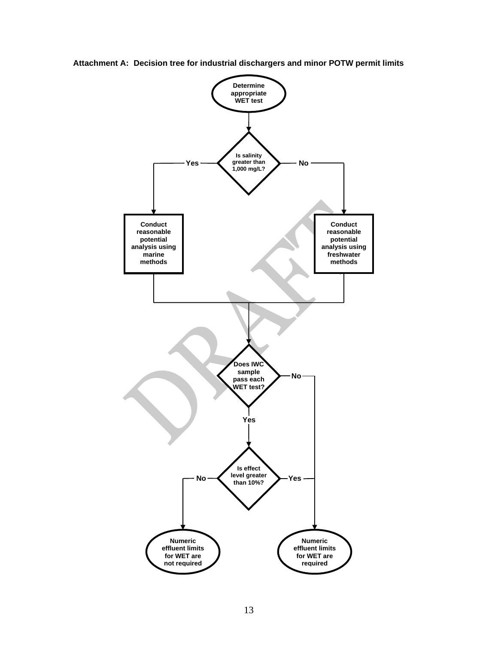

**Attachment A: Decision tree for industrial dischargers and minor POTW permit limits**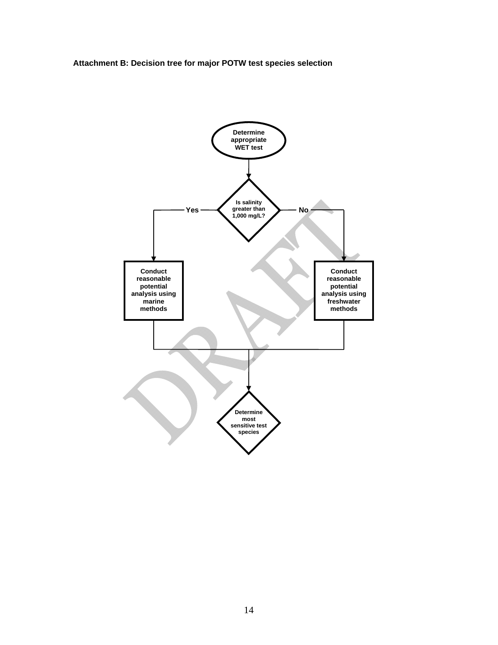**Attachment B: Decision tree for major POTW test species selection**